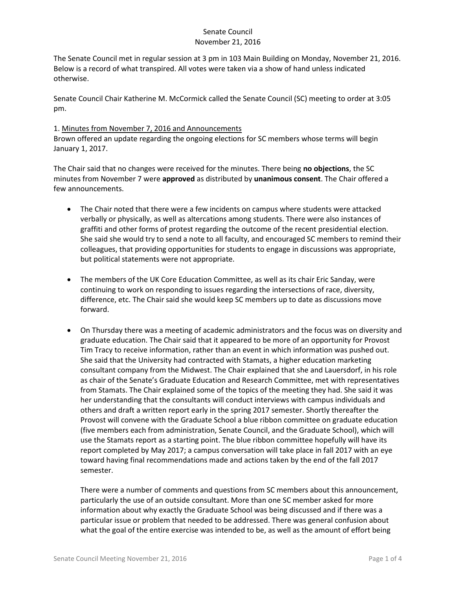The Senate Council met in regular session at 3 pm in 103 Main Building on Monday, November 21, 2016. Below is a record of what transpired. All votes were taken via a show of hand unless indicated otherwise.

Senate Council Chair Katherine M. McCormick called the Senate Council (SC) meeting to order at 3:05 pm.

#### 1. Minutes from November 7, 2016 and Announcements

Brown offered an update regarding the ongoing elections for SC members whose terms will begin January 1, 2017.

The Chair said that no changes were received for the minutes. There being **no objections**, the SC minutes from November 7 were **approved** as distributed by **unanimous consent**. The Chair offered a few announcements.

- The Chair noted that there were a few incidents on campus where students were attacked verbally or physically, as well as altercations among students. There were also instances of graffiti and other forms of protest regarding the outcome of the recent presidential election. She said she would try to send a note to all faculty, and encouraged SC members to remind their colleagues, that providing opportunities for students to engage in discussions was appropriate, but political statements were not appropriate.
- The members of the UK Core Education Committee, as well as its chair Eric Sanday, were continuing to work on responding to issues regarding the intersections of race, diversity, difference, etc. The Chair said she would keep SC members up to date as discussions move forward.
- On Thursday there was a meeting of academic administrators and the focus was on diversity and graduate education. The Chair said that it appeared to be more of an opportunity for Provost Tim Tracy to receive information, rather than an event in which information was pushed out. She said that the University had contracted with Stamats, a higher education marketing consultant company from the Midwest. The Chair explained that she and Lauersdorf, in his role as chair of the Senate's Graduate Education and Research Committee, met with representatives from Stamats. The Chair explained some of the topics of the meeting they had. She said it was her understanding that the consultants will conduct interviews with campus individuals and others and draft a written report early in the spring 2017 semester. Shortly thereafter the Provost will convene with the Graduate School a blue ribbon committee on graduate education (five members each from administration, Senate Council, and the Graduate School), which will use the Stamats report as a starting point. The blue ribbon committee hopefully will have its report completed by May 2017; a campus conversation will take place in fall 2017 with an eye toward having final recommendations made and actions taken by the end of the fall 2017 semester.

There were a number of comments and questions from SC members about this announcement, particularly the use of an outside consultant. More than one SC member asked for more information about why exactly the Graduate School was being discussed and if there was a particular issue or problem that needed to be addressed. There was general confusion about what the goal of the entire exercise was intended to be, as well as the amount of effort being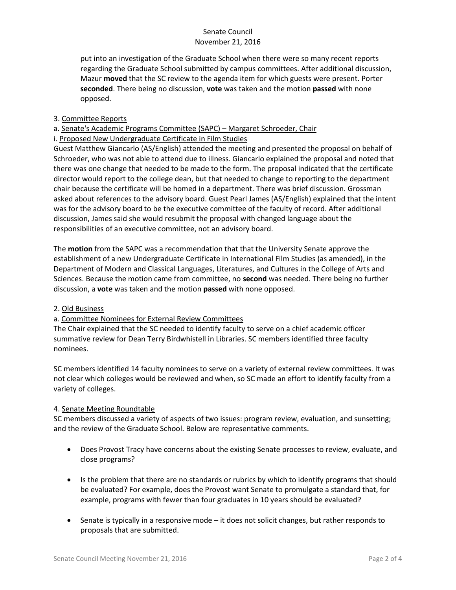put into an investigation of the Graduate School when there were so many recent reports regarding the Graduate School submitted by campus committees. After additional discussion, Mazur **moved** that the SC review to the agenda item for which guests were present. Porter **seconded**. There being no discussion, **vote** was taken and the motion **passed** with none opposed.

## 3. Committee Reports

## a. Senate's Academic Programs Committee (SAPC) – Margaret Schroeder, Chair

## i. Proposed New Undergraduate Certificate in Film Studies

Guest Matthew Giancarlo (AS/English) attended the meeting and presented the proposal on behalf of Schroeder, who was not able to attend due to illness. Giancarlo explained the proposal and noted that there was one change that needed to be made to the form. The proposal indicated that the certificate director would report to the college dean, but that needed to change to reporting to the department chair because the certificate will be homed in a department. There was brief discussion. Grossman asked about references to the advisory board. Guest Pearl James (AS/English) explained that the intent was for the advisory board to be the executive committee of the faculty of record. After additional discussion, James said she would resubmit the proposal with changed language about the responsibilities of an executive committee, not an advisory board.

The **motion** from the SAPC was a recommendation that that the University Senate approve the establishment of a new Undergraduate Certificate in International Film Studies (as amended), in the Department of Modern and Classical Languages, Literatures, and Cultures in the College of Arts and Sciences. Because the motion came from committee, no **second** was needed. There being no further discussion, a **vote** was taken and the motion **passed** with none opposed.

### 2. Old Business

### a. Committee Nominees for External Review Committees

The Chair explained that the SC needed to identify faculty to serve on a chief academic officer summative review for Dean Terry Birdwhistell in Libraries. SC members identified three faculty nominees.

SC members identified 14 faculty nominees to serve on a variety of external review committees. It was not clear which colleges would be reviewed and when, so SC made an effort to identify faculty from a variety of colleges.

### 4. Senate Meeting Roundtable

SC members discussed a variety of aspects of two issues: program review, evaluation, and sunsetting; and the review of the Graduate School. Below are representative comments.

- Does Provost Tracy have concerns about the existing Senate processes to review, evaluate, and close programs?
- Is the problem that there are no standards or rubrics by which to identify programs that should be evaluated? For example, does the Provost want Senate to promulgate a standard that, for example, programs with fewer than four graduates in 10 years should be evaluated?
- Senate is typically in a responsive mode it does not solicit changes, but rather responds to proposals that are submitted.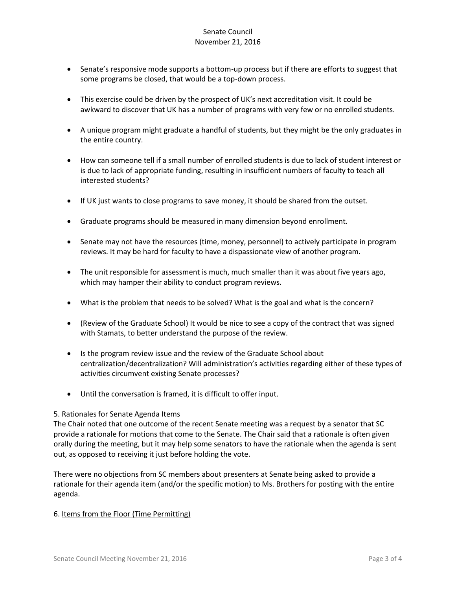- Senate's responsive mode supports a bottom-up process but if there are efforts to suggest that some programs be closed, that would be a top-down process.
- This exercise could be driven by the prospect of UK's next accreditation visit. It could be awkward to discover that UK has a number of programs with very few or no enrolled students.
- A unique program might graduate a handful of students, but they might be the only graduates in the entire country.
- How can someone tell if a small number of enrolled students is due to lack of student interest or is due to lack of appropriate funding, resulting in insufficient numbers of faculty to teach all interested students?
- If UK just wants to close programs to save money, it should be shared from the outset.
- Graduate programs should be measured in many dimension beyond enrollment.
- Senate may not have the resources (time, money, personnel) to actively participate in program reviews. It may be hard for faculty to have a dispassionate view of another program.
- The unit responsible for assessment is much, much smaller than it was about five years ago, which may hamper their ability to conduct program reviews.
- What is the problem that needs to be solved? What is the goal and what is the concern?
- (Review of the Graduate School) It would be nice to see a copy of the contract that was signed with Stamats, to better understand the purpose of the review.
- Is the program review issue and the review of the Graduate School about centralization/decentralization? Will administration's activities regarding either of these types of activities circumvent existing Senate processes?
- Until the conversation is framed, it is difficult to offer input.

#### 5. Rationales for Senate Agenda Items

The Chair noted that one outcome of the recent Senate meeting was a request by a senator that SC provide a rationale for motions that come to the Senate. The Chair said that a rationale is often given orally during the meeting, but it may help some senators to have the rationale when the agenda is sent out, as opposed to receiving it just before holding the vote.

There were no objections from SC members about presenters at Senate being asked to provide a rationale for their agenda item (and/or the specific motion) to Ms. Brothers for posting with the entire agenda.

### 6. Items from the Floor (Time Permitting)